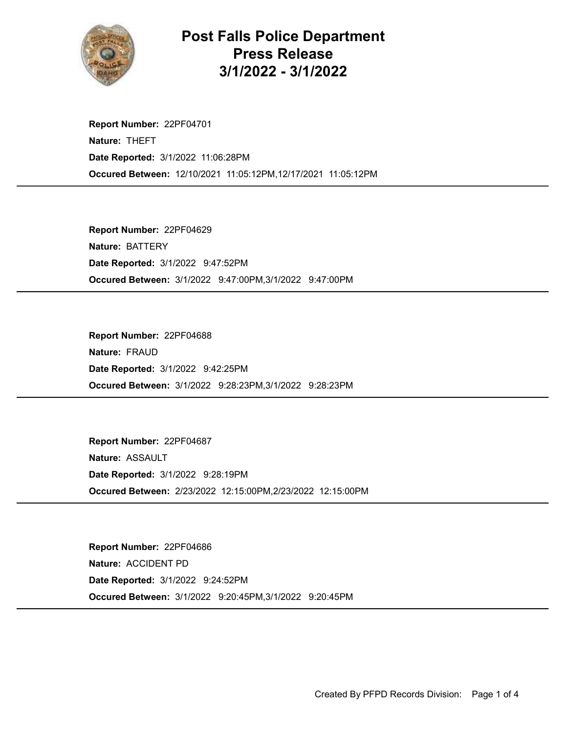

## Post Falls Police Department Press Release 3/1/2022 - 3/1/2022

Occured Between: 12/10/2021 11:05:12PM,12/17/2021 11:05:12PM Report Number: 22PF04701 Nature: THEFT Date Reported: 3/1/2022 11:06:28PM

Occured Between: 3/1/2022 9:47:00PM,3/1/2022 9:47:00PM Report Number: 22PF04629 Nature: BATTERY Date Reported: 3/1/2022 9:47:52PM

Occured Between: 3/1/2022 9:28:23PM,3/1/2022 9:28:23PM Report Number: 22PF04688 Nature: FRAUD Date Reported: 3/1/2022 9:42:25PM

Occured Between: 2/23/2022 12:15:00PM,2/23/2022 12:15:00PM Report Number: 22PF04687 Nature: ASSAULT Date Reported: 3/1/2022 9:28:19PM

Occured Between: 3/1/2022 9:20:45PM,3/1/2022 9:20:45PM Report Number: 22PF04686 Nature: ACCIDENT PD Date Reported: 3/1/2022 9:24:52PM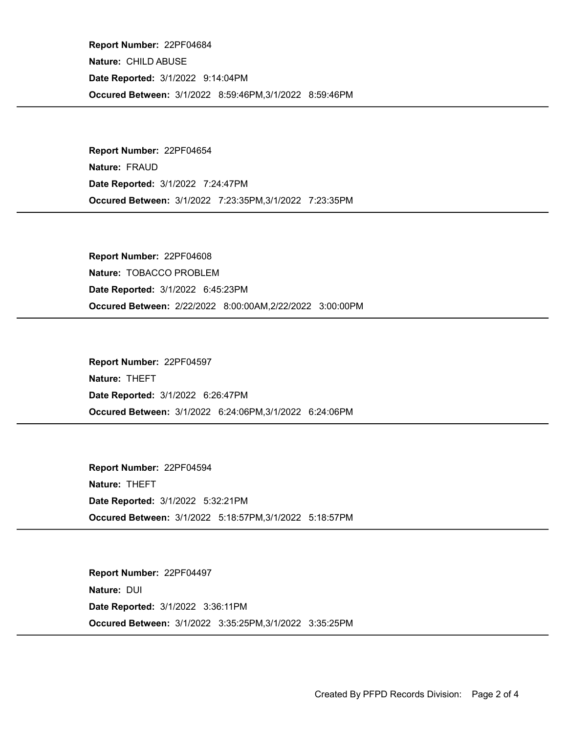Occured Between: 3/1/2022 8:59:46PM,3/1/2022 8:59:46PM Report Number: 22PF04684 Nature: CHILD ABUSE Date Reported: 3/1/2022 9:14:04PM

Occured Between: 3/1/2022 7:23:35PM,3/1/2022 7:23:35PM Report Number: 22PF04654 Nature: FRAUD Date Reported: 3/1/2022 7:24:47PM

Occured Between: 2/22/2022 8:00:00AM,2/22/2022 3:00:00PM Report Number: 22PF04608 Nature: TOBACCO PROBLEM Date Reported: 3/1/2022 6:45:23PM

Occured Between: 3/1/2022 6:24:06PM,3/1/2022 6:24:06PM Report Number: 22PF04597 Nature: THEFT Date Reported: 3/1/2022 6:26:47PM

Occured Between: 3/1/2022 5:18:57PM,3/1/2022 5:18:57PM Report Number: 22PF04594 Nature: THEFT Date Reported: 3/1/2022 5:32:21PM

Occured Between: 3/1/2022 3:35:25PM,3/1/2022 3:35:25PM Report Number: 22PF04497 Nature: DUI Date Reported: 3/1/2022 3:36:11PM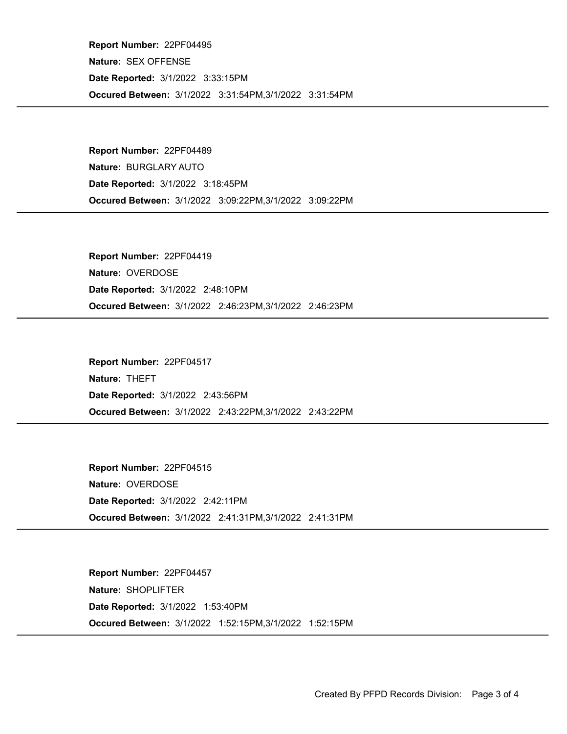Occured Between: 3/1/2022 3:31:54PM,3/1/2022 3:31:54PM Report Number: 22PF04495 Nature: SEX OFFENSE Date Reported: 3/1/2022 3:33:15PM

Occured Between: 3/1/2022 3:09:22PM,3/1/2022 3:09:22PM Report Number: 22PF04489 Nature: BURGLARY AUTO Date Reported: 3/1/2022 3:18:45PM

Occured Between: 3/1/2022 2:46:23PM,3/1/2022 2:46:23PM Report Number: 22PF04419 Nature: OVERDOSE Date Reported: 3/1/2022 2:48:10PM

Occured Between: 3/1/2022 2:43:22PM,3/1/2022 2:43:22PM Report Number: 22PF04517 Nature: THEFT Date Reported: 3/1/2022 2:43:56PM

Occured Between: 3/1/2022 2:41:31PM,3/1/2022 2:41:31PM Report Number: 22PF04515 Nature: OVERDOSE Date Reported: 3/1/2022 2:42:11PM

Occured Between: 3/1/2022 1:52:15PM,3/1/2022 1:52:15PM Report Number: 22PF04457 Nature: SHOPLIFTER Date Reported: 3/1/2022 1:53:40PM